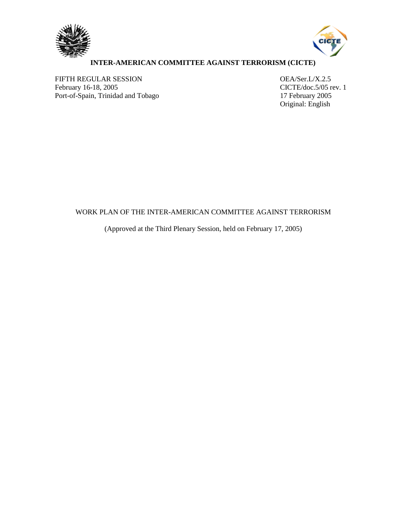



# **INTER-AMERICAN COMMITTEE AGAINST TERRORISM (CICTE)**

FIFTH REGULAR SESSION OEA/Ser.L/X.2.5 February 16-18, 2005<br>
Port-of-Spain, Trinidad and Tobago<br>
17 February 2005<br>
17 February 2005 Port-of-Spain, Trinidad and Tobago

Original: English

# WORK PLAN OF THE INTER-AMERICAN COMMITTEE AGAINST TERRORISM

(Approved at the Third Plenary Session, held on February 17, 2005)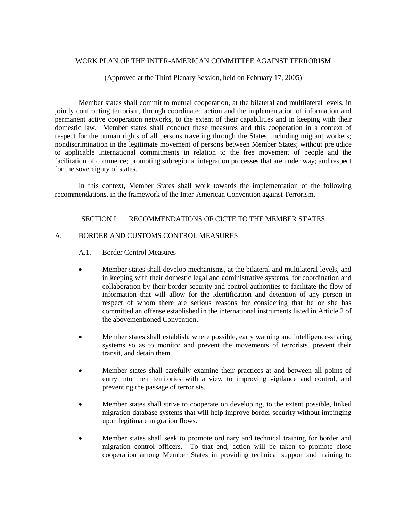### WORK PLAN OF THE INTER-AMERICAN COMMITTEE AGAINST TERRORISM

(Approved at the Third Plenary Session, held on February 17, 2005)

Member states shall commit to mutual cooperation, at the bilateral and multilateral levels, in jointly confronting terrorism, through coordinated action and the implementation of information and permanent active cooperation networks, to the extent of their capabilities and in keeping with their domestic law. Member states shall conduct these measures and this cooperation in a context of respect for the human rights of all persons traveling through the States, including migrant workers; nondiscrimination in the legitimate movement of persons between Member States; without prejudice to applicable international commitments in relation to the free movement of people and the facilitation of commerce; promoting subregional integration processes that are under way; and respect for the sovereignty of states.

In this context, Member States shall work towards the implementation of the following recommendations, in the framework of the Inter-American Convention against Terrorism.

# SECTION I. RECOMMENDATIONS OF CICTE TO THE MEMBER STATES

### A. BORDER AND CUSTOMS CONTROL MEASURES

### A.1. Border Control Measures

- Member states shall develop mechanisms, at the bilateral and multilateral levels, and in keeping with their domestic legal and administrative systems, for coordination and collaboration by their border security and control authorities to facilitate the flow of information that will allow for the identification and detention of any person in respect of whom there are serious reasons for considering that he or she has committed an offense established in the international instruments listed in Article 2 of the abovementioned Convention.
- Member states shall establish, where possible, early warning and intelligence-sharing systems so as to monitor and prevent the movements of terrorists, prevent their transit, and detain them.
- Member states shall carefully examine their practices at and between all points of entry into their territories with a view to improving vigilance and control, and preventing the passage of terrorists.
- Member states shall strive to cooperate on developing, to the extent possible, linked migration database systems that will help improve border security without impinging upon legitimate migration flows.
- Member states shall seek to promote ordinary and technical training for border and migration control officers. To that end, action will be taken to promote close cooperation among Member States in providing technical support and training to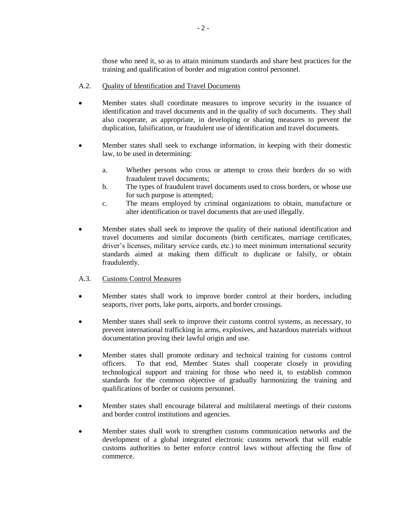those who need it, so as to attain minimum standards and share best practices for the training and qualification of border and migration control personnel.

# A.2. Quality of Identification and Travel Documents

- Member states shall coordinate measures to improve security in the issuance of identification and travel documents and in the quality of such documents. They shall also cooperate, as appropriate, in developing or sharing measures to prevent the duplication, falsification, or fraudulent use of identification and travel documents.
- Member states shall seek to exchange information, in keeping with their domestic law, to be used in determining:
	- a. Whether persons who cross or attempt to cross their borders do so with fraudulent travel documents;
	- b. The types of fraudulent travel documents used to cross borders, or whose use for such purpose is attempted;
	- c. The means employed by criminal organizations to obtain, manufacture or alter identification or travel documents that are used illegally.
- Member states shall seek to improve the quality of their national identification and travel documents and similar documents (birth certificates, marriage certificates, driver's licenses, military service cards, etc.) to meet minimum international security standards aimed at making them difficult to duplicate or falsify, or obtain fraudulently.

# A.3. Customs Control Measures

- Member states shall work to improve border control at their borders, including seaports, river ports, lake ports, airports, and border crossings.
- Member states shall seek to improve their customs control systems, as necessary, to prevent international trafficking in arms, explosives, and hazardous materials without documentation proving their lawful origin and use.
- Member states shall promote ordinary and technical training for customs control officers. To that end, Member States shall cooperate closely in providing technological support and training for those who need it, to establish common standards for the common objective of gradually harmonizing the training and qualifications of border or customs personnel.
- Member states shall encourage bilateral and multilateral meetings of their customs and border control institutions and agencies.
- Member states shall work to strengthen customs communication networks and the development of a global integrated electronic customs network that will enable customs authorities to better enforce control laws without affecting the flow of commerce.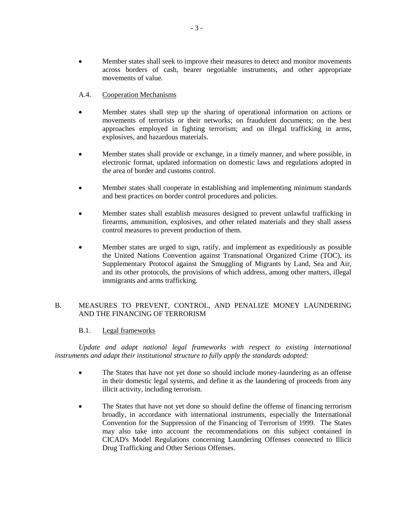- Member states shall seek to improve their measures to detect and monitor movements across borders of cash, bearer negotiable instruments, and other appropriate movements of value.
- A.4. Cooperation Mechanisms
- Member states shall step up the sharing of operational information on actions or movements of terrorists or their networks; on fraudulent documents; on the best approaches employed in fighting terrorism; and on illegal trafficking in arms, explosives, and hazardous materials.
- Member states shall provide or exchange, in a timely manner, and where possible, in electronic format, updated information on domestic laws and regulations adopted in the area of border and customs control.
- Member states shall cooperate in establishing and implementing minimum standards and best practices on border control procedures and policies.
- Member states shall establish measures designed to prevent unlawful trafficking in firearms, ammunition, explosives, and other related materials and they shall assess control measures to prevent production of them.
- Member states are urged to sign, ratify, and implement as expeditiously as possible the United Nations Convention against Transnational Organized Crime (TOC), its Supplementary Protocol against the Smuggling of Migrants by Land, Sea and Air, and its other protocols, the provisions of which address, among other matters, illegal immigrants and arms trafficking.

# B. MEASURES TO PREVENT, CONTROL, AND PENALIZE MONEY LAUNDERING AND THE FINANCING OF TERRORISM

# B.1. Legal frameworks

Update and adapt national legal frameworks with respect to existing international *instruments and adapt their institutional structure to fully apply the standards adopted:* 

- The States that have not yet done so should include money-laundering as an offense in their domestic legal systems, and define it as the laundering of proceeds from any illicit activity, including terrorism.
- The States that have not yet done so should define the offense of financing terrorism broadly, in accordance with international instruments, especially the International Convention for the Suppression of the Financing of Terrorism of 1999. The States may also take into account the recommendations on this subject contained in CICAD's Model Regulations concerning Laundering Offenses connected to Illicit Drug Trafficking and Other Serious Offenses.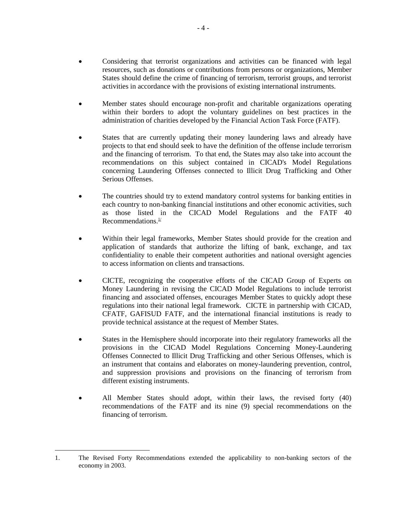- Considering that terrorist organizations and activities can be financed with legal resources, such as donations or contributions from persons or organizations, Member States should define the crime of financing of terrorism, terrorist groups, and terrorist activities in accordance with the provisions of existing international instruments.
- Member states should encourage non-profit and charitable organizations operating within their borders to adopt the voluntary guidelines on best practices in the administration of charities developed by the Financial Action Task Force (FATF).
- States that are currently updating their money laundering laws and already have projects to that end should seek to have the definition of the offense include terrorism and the financing of terrorism. To that end, the States may also take into account the recommendations on this subject contained in CICAD's Model Regulations concerning Laundering Offenses connected to Illicit Drug Trafficking and Other Serious Offenses.
- The countries should try to extend mandatory control systems for banking entities in each country to non-banking financial institutions and other economic activities, such as those listed in the CICAD Model Regulations and the FATF 40 Recommendations.<sup>1/</sup>
- Within their legal frameworks, Member States should provide for the creation and application of standards that authorize the lifting of bank, exchange, and tax confidentiality to enable their competent authorities and national oversight agencies to access information on clients and transactions.
- CICTE, recognizing the cooperative efforts of the CICAD Group of Experts on Money Laundering in revising the CICAD Model Regulations to include terrorist financing and associated offenses, encourages Member States to quickly adopt these regulations into their national legal framework. CICTE in partnership with CICAD, CFATF, GAFISUD FATF, and the international financial institutions is ready to provide technical assistance at the request of Member States.
- States in the Hemisphere should incorporate into their regulatory frameworks all the provisions in the CICAD Model Regulations Concerning Money-Laundering Offenses Connected to Illicit Drug Trafficking and other Serious Offenses, which is an instrument that contains and elaborates on money-laundering prevention, control, and suppression provisions and provisions on the financing of terrorism from different existing instruments.
- All Member States should adopt, within their laws, the revised forty (40) recommendations of the FATF and its nine (9) special recommendations on the financing of terrorism.

 $\overline{a}$ 

<sup>1.</sup> The Revised Forty Recommendations extended the applicability to non-banking sectors of the economy in 2003.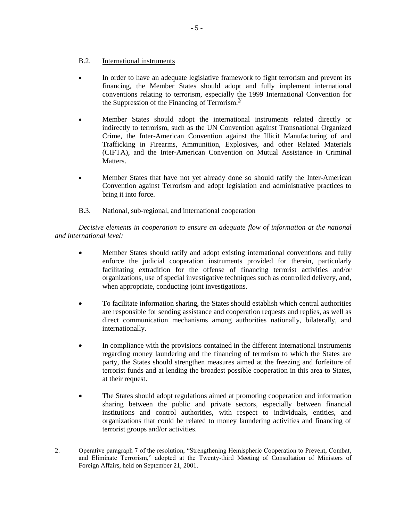# B.2. International instruments

- In order to have an adequate legislative framework to fight terrorism and prevent its financing, the Member States should adopt and fully implement international conventions relating to terrorism, especially the 1999 International Convention for the Suppression of the Financing of Terrorism. $2^{2}$
- Member States should adopt the international instruments related directly or indirectly to terrorism, such as the UN Convention against Transnational Organized Crime, the Inter-American Convention against the Illicit Manufacturing of and Trafficking in Firearms, Ammunition, Explosives, and other Related Materials (CIFTA), and the Inter-American Convention on Mutual Assistance in Criminal Matters.
- Member States that have not yet already done so should ratify the Inter-American Convention against Terrorism and adopt legislation and administrative practices to bring it into force.

# B.3. National, sub-regional, and international cooperation

*Decisive elements in cooperation to ensure an adequate flow of information at the national and international level:*

- Member States should ratify and adopt existing international conventions and fully enforce the judicial cooperation instruments provided for therein, particularly facilitating extradition for the offense of financing terrorist activities and/or organizations, use of special investigative techniques such as controlled delivery, and, when appropriate, conducting joint investigations.
- To facilitate information sharing, the States should establish which central authorities are responsible for sending assistance and cooperation requests and replies, as well as direct communication mechanisms among authorities nationally, bilaterally, and internationally.
- In compliance with the provisions contained in the different international instruments regarding money laundering and the financing of terrorism to which the States are party, the States should strengthen measures aimed at the freezing and forfeiture of terrorist funds and at lending the broadest possible cooperation in this area to States, at their request.
- The States should adopt regulations aimed at promoting cooperation and information sharing between the public and private sectors, especially between financial institutions and control authorities, with respect to individuals, entities, and organizations that could be related to money laundering activities and financing of terrorist groups and/or activities.

 $\overline{a}$ 2. Operative paragraph 7 of the resolution, "Strengthening Hemispheric Cooperation to Prevent, Combat, and Eliminate Terrorism," adopted at the Twenty-third Meeting of Consultation of Ministers of Foreign Affairs, held on September 21, 2001.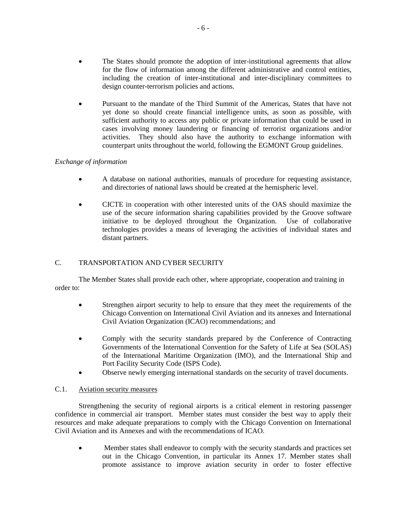- The States should promote the adoption of inter-institutional agreements that allow for the flow of information among the different administrative and control entities, including the creation of inter-institutional and inter-disciplinary committees to design counter-terrorism policies and actions.
- Pursuant to the mandate of the Third Summit of the Americas, States that have not yet done so should create financial intelligence units, as soon as possible, with sufficient authority to access any public or private information that could be used in cases involving money laundering or financing of terrorist organizations and/or activities. They should also have the authority to exchange information with counterpart units throughout the world, following the EGMONT Group guidelines.

# *Exchange of information*

- A database on national authorities, manuals of procedure for requesting assistance, and directories of national laws should be created at the hemispheric level.
- CICTE in cooperation with other interested units of the OAS should maximize the use of the secure information sharing capabilities provided by the Groove software initiative to be deployed throughout the Organization. Use of collaborative technologies provides a means of leveraging the activities of individual states and distant partners.

# C. TRANSPORTATION AND CYBER SECURITY

The Member States shall provide each other, where appropriate, cooperation and training in order to:

- Strengthen airport security to help to ensure that they meet the requirements of the Chicago Convention on International Civil Aviation and its annexes and International Civil Aviation Organization (ICAO) recommendations; and
- Comply with the security standards prepared by the Conference of Contracting Governments of the International Convention for the Safety of Life at Sea (SOLAS) of the International Maritime Organization (IMO), and the International Ship and Port Facility Security Code (ISPS Code).
- Observe newly emerging international standards on the security of travel documents.

# C.1. Aviation security measures

Strengthening the security of regional airports is a critical element in restoring passenger confidence in commercial air transport. Member states must consider the best way to apply their resources and make adequate preparations to comply with the Chicago Convention on International Civil Aviation and its Annexes and with the recommendations of ICAO.

 Member states shall endeavor to comply with the security standards and practices set out in the Chicago Convention, in particular its Annex 17. Member states shall promote assistance to improve aviation security in order to foster effective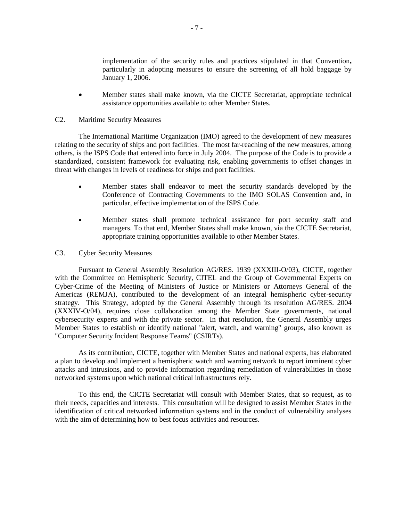implementation of the security rules and practices stipulated in that Convention**,**  particularly in adopting measures to ensure the screening of all hold baggage by January 1, 2006.

 Member states shall make known, via the CICTE Secretariat, appropriate technical assistance opportunities available to other Member States.

### C2. Maritime Security Measures

The International Maritime Organization (IMO) agreed to the development of new measures relating to the security of ships and port facilities. The most far-reaching of the new measures, among others, is the ISPS Code that entered into force in July 2004. The purpose of the Code is to provide a standardized, consistent framework for evaluating risk, enabling governments to offset changes in threat with changes in levels of readiness for ships and port facilities.

- Member states shall endeavor to meet the security standards developed by the Conference of Contracting Governments to the IMO SOLAS Convention and, in particular, effective implementation of the ISPS Code.
- Member states shall promote technical assistance for port security staff and managers. To that end, Member States shall make known, via the CICTE Secretariat, appropriate training opportunities available to other Member States.

### C3. Cyber Security Measures

Pursuant to General Assembly Resolution AG/RES. 1939 (XXXIII-O/03), CICTE, together with the Committee on Hemispheric Security, CITEL and the Group of Governmental Experts on Cyber-Crime of the Meeting of Ministers of Justice or Ministers or Attorneys General of the Americas (REMJA), contributed to the development of an integral hemispheric cyber-security strategy. This Strategy, adopted by the General Assembly through its resolution AG/RES. 2004 (XXXIV-O/04), requires close collaboration among the Member State governments, national cybersecurity experts and with the private sector. In that resolution, the General Assembly urges Member States to establish or identify national "alert, watch, and warning" groups, also known as "Computer Security Incident Response Teams" (CSIRTs).

As its contribution, CICTE, together with Member States and national experts, has elaborated a plan to develop and implement a hemispheric watch and warning network to report imminent cyber attacks and intrusions, and to provide information regarding remediation of vulnerabilities in those networked systems upon which national critical infrastructures rely.

To this end, the CICTE Secretariat will consult with Member States, that so request, as to their needs, capacities and interests. This consultation will be designed to assist Member States in the identification of critical networked information systems and in the conduct of vulnerability analyses with the aim of determining how to best focus activities and resources.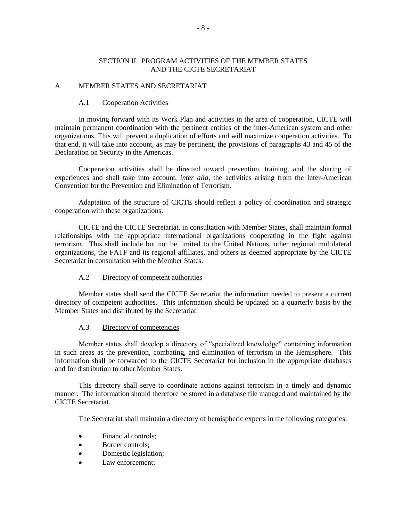### SECTION II. PROGRAM ACTIVITIES OF THE MEMBER STATES AND THE CICTE SECRETARIAT

#### A. MEMBER STATES AND SECRETARIAT

#### A.1 Cooperation Activities

In moving forward with its Work Plan and activities in the area of cooperation, CICTE will maintain permanent coordination with the pertinent entities of the inter-American system and other organizations. This will prevent a duplication of efforts and will maximize cooperation activities. To that end, it will take into account, as may be pertinent, the provisions of paragraphs 43 and 45 of the Declaration on Security in the Americas.

Cooperation activities shall be directed toward prevention, training, and the sharing of experiences and shall take into account, *inter alia*, the activities arising from the Inter-American Convention for the Prevention and Elimination of Terrorism.

Adaptation of the structure of CICTE should reflect a policy of coordination and strategic cooperation with these organizations.

CICTE and the CICTE Secretariat, in consultation with Member States, shall maintain formal relationships with the appropriate international organizations cooperating in the fight against terrorism. This shall include but not be limited to the United Nations, other regional multilateral organizations, the FATF and its regional affiliates, and others as deemed appropriate by the CICTE Secretariat in consultation with the Member States.

### A.2 Directory of competent authorities

Member states shall send the CICTE Secretariat the information needed to present a current directory of competent authorities. This information should be updated on a quarterly basis by the Member States and distributed by the Secretariat.

## A.3 Directory of competencies

Member states shall develop a directory of "specialized knowledge" containing information in such areas as the prevention, combating, and elimination of terrorism in the Hemisphere. This information shall be forwarded to the CICTE Secretariat for inclusion in the appropriate databases and for distribution to other Member States.

This directory shall serve to coordinate actions against terrorism in a timely and dynamic manner. The information should therefore be stored in a database file managed and maintained by the CICTE Secretariat.

The Secretariat shall maintain a directory of hemispheric experts in the following categories:

- Financial controls:
- Border controls;
- Domestic legislation;
- Law enforcement;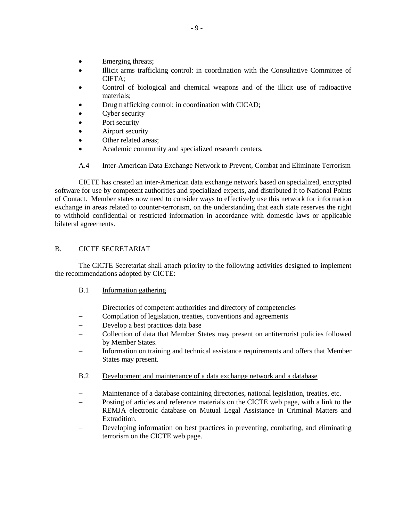- Emerging threats;
- Illicit arms trafficking control: in coordination with the Consultative Committee of CIFTA;
- Control of biological and chemical weapons and of the illicit use of radioactive materials;
- Drug trafficking control: in coordination with CICAD;
- Cyber security
- Port security
- Airport security
- Other related areas;
- Academic community and specialized research centers.

# A.4 Inter-American Data Exchange Network to Prevent, Combat and Eliminate Terrorism

CICTE has created an inter-American data exchange network based on specialized, encrypted software for use by competent authorities and specialized experts, and distributed it to National Points of Contact. Member states now need to consider ways to effectively use this network for information exchange in areas related to counter-terrorism, on the understanding that each state reserves the right to withhold confidential or restricted information in accordance with domestic laws or applicable bilateral agreements.

# B. CICTE SECRETARIAT

The CICTE Secretariat shall attach priority to the following activities designed to implement the recommendations adopted by CICTE:

- B.1 Information gathering
- Directories of competent authorities and directory of competencies
- Compilation of legislation, treaties, conventions and agreements
- Develop a best practices data base
- Collection of data that Member States may present on antiterrorist policies followed by Member States.
- Information on training and technical assistance requirements and offers that Member States may present.
- B.2 Development and maintenance of a data exchange network and a database
- Maintenance of a database containing directories, national legislation, treaties, etc.
- Posting of articles and reference materials on the CICTE web page, with a link to the REMJA electronic database on Mutual Legal Assistance in Criminal Matters and Extradition.
- Developing information on best practices in preventing, combating, and eliminating terrorism on the CICTE web page.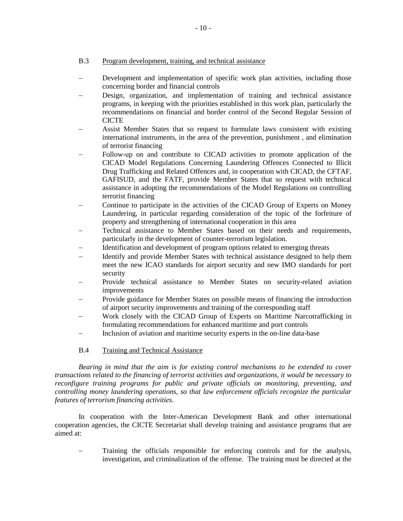# B.3 Program development, training, and technical assistance

- Development and implementation of specific work plan activities, including those concerning border and financial controls
- Design, organization, and implementation of training and technical assistance programs, in keeping with the priorities established in this work plan, particularly the recommendations on financial and border control of the Second Regular Session of CICTE
- Assist Member States that so request to formulate laws consistent with existing international instruments, in the area of the prevention, punishment , and elimination of terrorist financing
- Follow-up on and contribute to CICAD activities to promote application of the CICAD Model Regulations Concerning Laundering Offences Connected to Illicit Drug Trafficking and Related Offences and, in cooperation with CICAD, the CFTAF, GAFISUD, and the FATF, provide Member States that so request with technical assistance in adopting the recommendations of the Model Regulations on controlling terrorist financing
- Continue to participate in the activities of the CICAD Group of Experts on Money Laundering, in particular regarding consideration of the topic of the forfeiture of property and strengthening of international cooperation in this area
- Technical assistance to Member States based on their needs and requirements, particularly in the development of counter-terrorism legislation.
- Identification and development of program options related to emerging threats
- Identify and provide Member States with technical assistance designed to help them meet the new ICAO standards for airport security and new IMO standards for port security
- Provide technical assistance to Member States on security-related aviation improvements
- Provide guidance for Member States on possible means of financing the introduction of airport security improvements and training of the corresponding staff
- Work closely with the CICAD Group of Experts on Maritime Narcotrafficking in formulating recommendations for enhanced maritime and port controls
- Inclusion of aviation and maritime security experts in the on-line data-base

# B.4 Training and Technical Assistance

*Bearing in mind that the aim is for existing control mechanisms to be extended to cover transactions related to the financing of terrorist activities and organizations, it would be necessary to reconfigure training programs for public and private officials on monitoring, preventing, and controlling money laundering operations, so that law enforcement officials recognize the particular features of terrorism financing activities.*

In cooperation with the Inter-American Development Bank and other international cooperation agencies, the CICTE Secretariat shall develop training and assistance programs that are aimed at:

 Training the officials responsible for enforcing controls and for the analysis, investigation, and criminalization of the offense. The training must be directed at the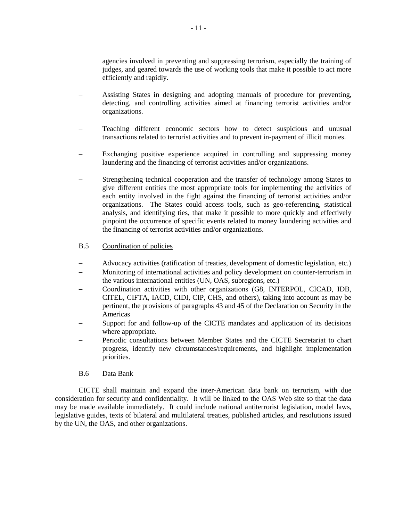agencies involved in preventing and suppressing terrorism, especially the training of judges, and geared towards the use of working tools that make it possible to act more efficiently and rapidly.

- Assisting States in designing and adopting manuals of procedure for preventing, detecting, and controlling activities aimed at financing terrorist activities and/or organizations.
- Teaching different economic sectors how to detect suspicious and unusual transactions related to terrorist activities and to prevent in-payment of illicit monies.
- Exchanging positive experience acquired in controlling and suppressing money laundering and the financing of terrorist activities and/or organizations.
- Strengthening technical cooperation and the transfer of technology among States to give different entities the most appropriate tools for implementing the activities of each entity involved in the fight against the financing of terrorist activities and/or organizations. The States could access tools, such as geo-referencing, statistical analysis, and identifying ties, that make it possible to more quickly and effectively pinpoint the occurrence of specific events related to money laundering activities and the financing of terrorist activities and/or organizations.

### B.5 Coordination of policies

- Advocacy activities (ratification of treaties, development of domestic legislation, etc.)
- Monitoring of international activities and policy development on counter-terrorism in the various international entities (UN, OAS, subregions, etc.)
- Coordination activities with other organizations (G8, INTERPOL, CICAD, IDB, CITEL, CIFTA, IACD, CIDI, CIP, CHS, and others), taking into account as may be pertinent, the provisions of paragraphs 43 and 45 of the Declaration on Security in the Americas
- Support for and follow-up of the CICTE mandates and application of its decisions where appropriate.
- Periodic consultations between Member States and the CICTE Secretariat to chart progress, identify new circumstances/requirements, and highlight implementation priorities.

### B.6 Data Bank

CICTE shall maintain and expand the inter-American data bank on terrorism, with due consideration for security and confidentiality. It will be linked to the OAS Web site so that the data may be made available immediately. It could include national antiterrorist legislation, model laws, legislative guides, texts of bilateral and multilateral treaties, published articles, and resolutions issued by the UN, the OAS, and other organizations.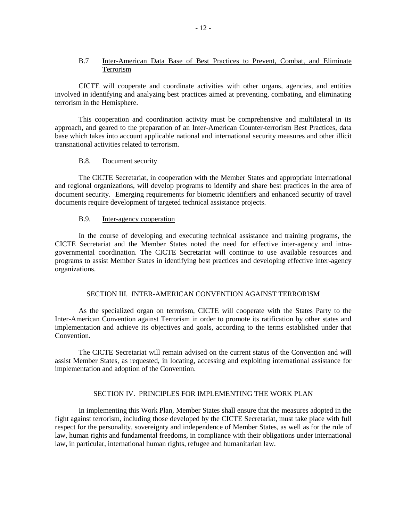### B.7 Inter-American Data Base of Best Practices to Prevent, Combat, and Eliminate Terrorism

CICTE will cooperate and coordinate activities with other organs, agencies, and entities involved in identifying and analyzing best practices aimed at preventing, combating, and eliminating terrorism in the Hemisphere.

This cooperation and coordination activity must be comprehensive and multilateral in its approach, and geared to the preparation of an Inter-American Counter-terrorism Best Practices, data base which takes into account applicable national and international security measures and other illicit transnational activities related to terrorism.

### B.8. Document security

The CICTE Secretariat, in cooperation with the Member States and appropriate international and regional organizations, will develop programs to identify and share best practices in the area of document security. Emerging requirements for biometric identifiers and enhanced security of travel documents require development of targeted technical assistance projects.

#### B.9. Inter-agency cooperation

In the course of developing and executing technical assistance and training programs, the CICTE Secretariat and the Member States noted the need for effective inter-agency and intragovernmental coordination. The CICTE Secretariat will continue to use available resources and programs to assist Member States in identifying best practices and developing effective inter-agency organizations.

### SECTION III. INTER-AMERICAN CONVENTION AGAINST TERRORISM

As the specialized organ on terrorism, CICTE will cooperate with the States Party to the Inter-American Convention against Terrorism in order to promote its ratification by other states and implementation and achieve its objectives and goals, according to the terms established under that Convention.

The CICTE Secretariat will remain advised on the current status of the Convention and will assist Member States, as requested, in locating, accessing and exploiting international assistance for implementation and adoption of the Convention.

#### SECTION IV. PRINCIPLES FOR IMPLEMENTING THE WORK PLAN

In implementing this Work Plan, Member States shall ensure that the measures adopted in the fight against terrorism, including those developed by the CICTE Secretariat, must take place with full respect for the personality, sovereignty and independence of Member States, as well as for the rule of law, human rights and fundamental freedoms, in compliance with their obligations under international law, in particular, international human rights, refugee and humanitarian law.